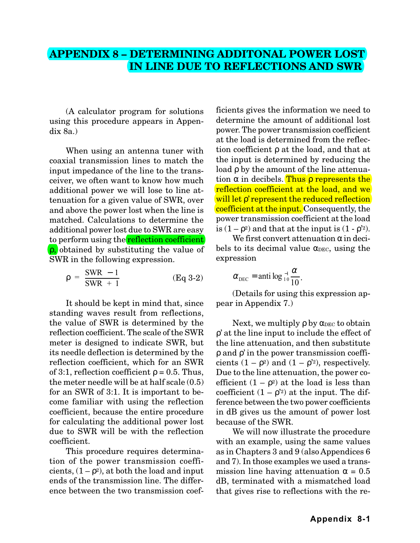## **APPENDIX 8 – DETERMINING ADDITONAL POWER LOST IN LINE DUE TO REFLECTIONS AND SWR**

(A calculator program for solutions using this procedure appears in Appendix 8a.)

When using an antenna tuner with coaxial transmission lines to match the input impedance of the line to the transceiver, we often want to know how much additional power we will lose to line attenuation for a given value of SWR, over and above the power lost when the line is matched. Calculations to determine the additional power lost due to SWR are easy to perform using the **reflection coefficient** ρ, obtained by substituting the value of SWR in the following expression.

$$
\rho = \frac{\text{SWR} - 1}{\text{SWR} + 1} \tag{Eq 3-2}
$$

It should be kept in mind that, since standing waves result from reflections, the value of SWR is determined by the reflection coefficient. The scale of the SWR meter is designed to indicate SWR, but its needle deflection is determined by the reflection coefficient, which for an SWR of 3:1, reflection coefficient  $\rho = 0.5$ . Thus, the meter needle will be at half scale (0.5) for an SWR of 3:1. It is important to become familiar with using the reflection coefficient, because the entire procedure for calculating the additional power lost due to SWR will be with the reflection coefficient.

This procedure requires determination of the power transmission coefficients,  $(1 - \rho^2)$ , at both the load and input ends of the transmission line. The difference between the two transmission coefficients gives the information we need to determine the amount of additional lost power. The power transmission coefficient at the load is determined from the reflection coefficient ρ at the load, and that at the input is determined by reducing the load ρ by the amount of the line attenuation  $\alpha$  in decibels. Thus  $\rho$  represents the reflection coefficient at the load, and we will let *ρ*' represent the reduced reflection coefficient at the input. Consequently, the power transmission coefficient at the load is  $(1 - \rho^2)$  and that at the input is  $(1 - \rho^2)$ .

We first convert attenuation  $\alpha$  in decibels to its decimal value  $\alpha_{DEC}$ , using the expression

$$
\alpha_{\text{DEC}} = \text{anti} \log_{10} \frac{a}{10}.
$$

(Details for using this expression appear in Appendix 7.)

Next, we multiply  $\rho$  by  $\alpha_{\text{DEC}}$  to obtain ρ' at the line input to include the effect of the line attenuation, and then substitute ρ and ρ' in the power transmission coefficients  $(1 - \rho^2)$  and  $(1 - \rho^2)$ , respectively. Due to the line attenuation, the power coefficient  $(1 - \rho^2)$  at the load is less than coefficient  $(1 - \rho^2)$  at the input. The difference between the two power coefficients in dB gives us the amount of power lost because of the SWR.

We will now illustrate the procedure with an example, using the same values as in Chapters 3 and 9 (also Appendices 6 and 7). In those examples we used a transmission line having attenuation  $\alpha = 0.5$ dB, terminated with a mismatched load that gives rise to reflections with the re-